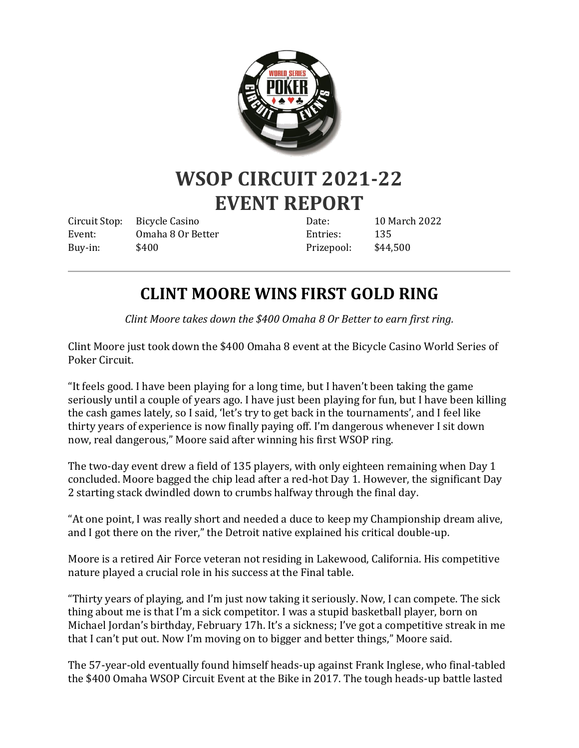

## **WSOP CIRCUIT 2021-22 EVENT REPORT**

Circuit Stop: Bicycle Casino Event: Omaha 8 Or Better Buy-in: \$400

Date: 10 March 2022 Entries: 135 Prizepool: \$44,500

## **CLINT MOORE WINS FIRST GOLD RING**

*Clint Moore takes down the \$400 Omaha 8 Or Better to earn first ring.*

Clint Moore just took down the \$400 Omaha 8 event at the Bicycle Casino World Series of Poker Circuit.

"It feels good. I have been playing for a long time, but I haven't been taking the game seriously until a couple of years ago. I have just been playing for fun, but I have been killing the cash games lately, so I said, 'let's try to get back in the tournaments', and I feel like thirty years of experience is now finally paying off. I'm dangerous whenever I sit down now, real dangerous," Moore said after winning his first WSOP ring.

The two-day event drew a field of 135 players, with only eighteen remaining when Day 1 concluded. Moore bagged the chip lead after a red-hot Day 1. However, the significant Day 2 starting stack dwindled down to crumbs halfway through the final day.

"At one point, I was really short and needed a duce to keep my Championship dream alive, and I got there on the river," the Detroit native explained his critical double-up.

Moore is a retired Air Force veteran not residing in Lakewood, California. His competitive nature played a crucial role in his success at the Final table.

"Thirty years of playing, and I'm just now taking it seriously. Now, I can compete. The sick thing about me is that I'm a sick competitor. I was a stupid basketball player, born on Michael Jordan's birthday, February 17h. It's a sickness; I've got a competitive streak in me that I can't put out. Now I'm moving on to bigger and better things," Moore said.

The 57-year-old eventually found himself heads-up against Frank Inglese, who final-tabled the \$400 Omaha WSOP Circuit Event at the Bike in 2017. The tough heads-up battle lasted